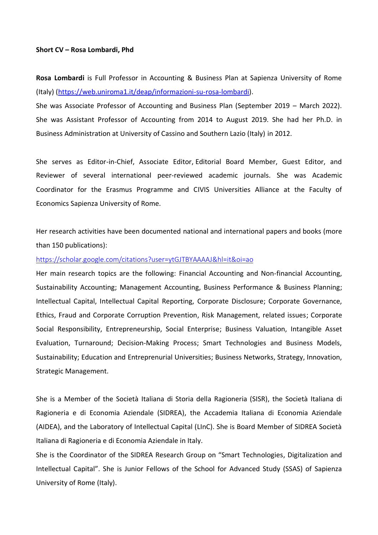## **Short CV – Rosa Lombardi, Phd**

**Rosa Lombardi** is Full Professor in Accounting & Business Plan at Sapienza University of Rome (Italy) [\(https://web.uniroma1.it/deap/informazioni-su-rosa-lombardi\)](https://web.uniroma1.it/deap/informazioni-su-rosa-lombardi).

She was Associate Professor of Accounting and Business Plan (September 2019 – March 2022). She was Assistant Professor of Accounting from 2014 to August 2019. She had her Ph.D. in Business Administration at University of Cassino and Southern Lazio (Italy) in 2012.

She serves as Editor-in-Chief, Associate Editor, Editorial Board Member, Guest Editor, and Reviewer of several international peer-reviewed academic journals. She was Academic Coordinator for the Erasmus Programme and CIVIS Universities Alliance at the Faculty of Economics Sapienza University of Rome.

Her research activities have been documented national and international papers and books (more than 150 publications):

## <https://scholar.google.com/citations?user=ytGJTBYAAAAJ&hl=it&oi=ao>

Her main research topics are the following: Financial Accounting and Non-financial Accounting, Sustainability Accounting; Management Accounting, Business Performance & Business Planning; Intellectual Capital, Intellectual Capital Reporting, Corporate Disclosure; Corporate Governance, Ethics, Fraud and Corporate Corruption Prevention, Risk Management, related issues; Corporate Social Responsibility, Entrepreneurship, Social Enterprise; Business Valuation, Intangible Asset Evaluation, Turnaround; Decision-Making Process; Smart Technologies and Business Models, Sustainability; Education and Entreprenurial Universities; Business Networks, Strategy, Innovation, Strategic Management.

She is a Member of the Società Italiana di Storia della Ragioneria (SISR), the Società Italiana di Ragioneria e di Economia Aziendale (SIDREA), the Accademia Italiana di Economia Aziendale (AIDEA), and the Laboratory of Intellectual Capital (LInC). She is Board Member of SIDREA Società Italiana di Ragioneria e di Economia Aziendale in Italy.

She is the Coordinator of the SIDREA Research Group on "Smart Technologies, Digitalization and Intellectual Capital". She is Junior Fellows of the School for Advanced Study (SSAS) of Sapienza University of Rome (Italy).